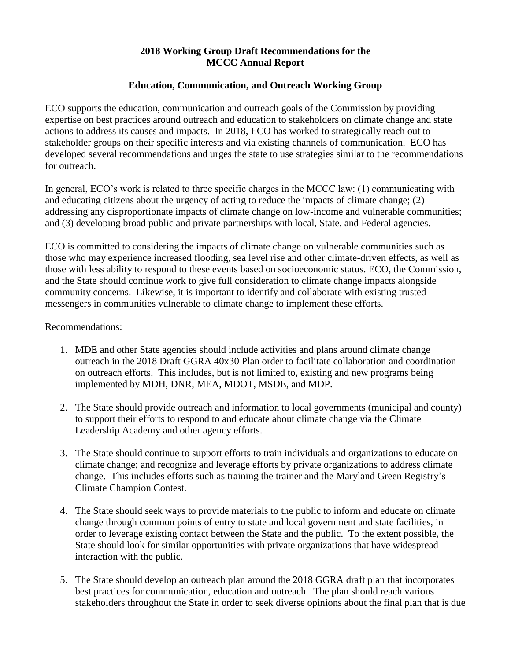## **2018 Working Group Draft Recommendations for the MCCC Annual Report**

### **Education, Communication, and Outreach Working Group**

ECO supports the education, communication and outreach goals of the Commission by providing expertise on best practices around outreach and education to stakeholders on climate change and state actions to address its causes and impacts. In 2018, ECO has worked to strategically reach out to stakeholder groups on their specific interests and via existing channels of communication. ECO has developed several recommendations and urges the state to use strategies similar to the recommendations for outreach.

In general, ECO's work is related to three specific charges in the MCCC law: (1) communicating with and educating citizens about the urgency of acting to reduce the impacts of climate change; (2) addressing any disproportionate impacts of climate change on low-income and vulnerable communities; and (3) developing broad public and private partnerships with local, State, and Federal agencies.

ECO is committed to considering the impacts of climate change on vulnerable communities such as those who may experience increased flooding, sea level rise and other climate-driven effects, as well as those with less ability to respond to these events based on socioeconomic status. ECO, the Commission, and the State should continue work to give full consideration to climate change impacts alongside community concerns. Likewise, it is important to identify and collaborate with existing trusted messengers in communities vulnerable to climate change to implement these efforts.

#### Recommendations:

- 1. MDE and other State agencies should include activities and plans around climate change outreach in the 2018 Draft GGRA 40x30 Plan order to facilitate collaboration and coordination on outreach efforts. This includes, but is not limited to, existing and new programs being implemented by MDH, DNR, MEA, MDOT, MSDE, and MDP.
- 2. The State should provide outreach and information to local governments (municipal and county) to support their efforts to respond to and educate about climate change via the Climate Leadership Academy and other agency efforts.
- 3. The State should continue to support efforts to train individuals and organizations to educate on climate change; and recognize and leverage efforts by private organizations to address climate change. This includes efforts such as training the trainer and the Maryland Green Registry's Climate Champion Contest.
- 4. The State should seek ways to provide materials to the public to inform and educate on climate change through common points of entry to state and local government and state facilities, in order to leverage existing contact between the State and the public. To the extent possible, the State should look for similar opportunities with private organizations that have widespread interaction with the public.
- 5. The State should develop an outreach plan around the 2018 GGRA draft plan that incorporates best practices for communication, education and outreach. The plan should reach various stakeholders throughout the State in order to seek diverse opinions about the final plan that is due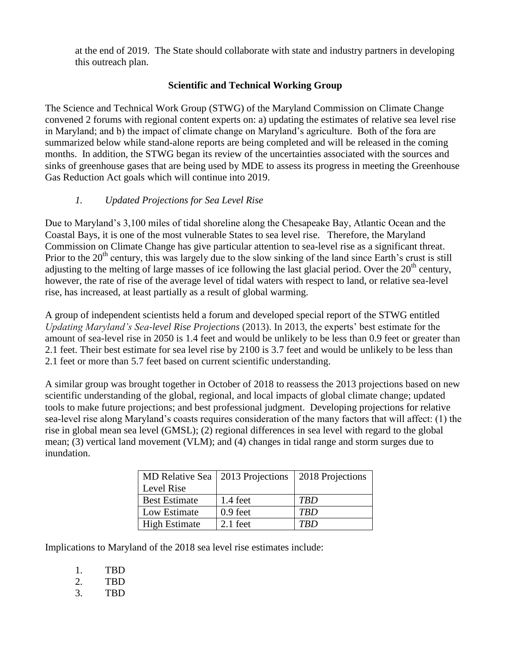at the end of 2019. The State should collaborate with state and industry partners in developing this outreach plan.

## **Scientific and Technical Working Group**

The Science and Technical Work Group (STWG) of the Maryland Commission on Climate Change convened 2 forums with regional content experts on: a) updating the estimates of relative sea level rise in Maryland; and b) the impact of climate change on Maryland's agriculture. Both of the fora are summarized below while stand-alone reports are being completed and will be released in the coming months. In addition, the STWG began its review of the uncertainties associated with the sources and sinks of greenhouse gases that are being used by MDE to assess its progress in meeting the Greenhouse Gas Reduction Act goals which will continue into 2019.

## *1. Updated Projections for Sea Level Rise*

Due to Maryland's 3,100 miles of tidal shoreline along the Chesapeake Bay, Atlantic Ocean and the Coastal Bays, it is one of the most vulnerable States to sea level rise. Therefore, the Maryland Commission on Climate Change has give particular attention to sea-level rise as a significant threat. Prior to the 20<sup>th</sup> century, this was largely due to the slow sinking of the land since Earth's crust is still adjusting to the melting of large masses of ice following the last glacial period. Over the  $20<sup>th</sup>$  century, however, the rate of rise of the average level of tidal waters with respect to land, or relative sea-level rise, has increased, at least partially as a result of global warming.

A group of independent scientists held a forum and developed special report of the STWG entitled *Updating Maryland's Sea-level Rise Projections* (2013). In 2013, the experts' best estimate for the amount of sea-level rise in 2050 is 1.4 feet and would be unlikely to be less than 0.9 feet or greater than 2.1 feet. Their best estimate for sea level rise by 2100 is 3.7 feet and would be unlikely to be less than 2.1 feet or more than 5.7 feet based on current scientific understanding.

A similar group was brought together in October of 2018 to reassess the 2013 projections based on new scientific understanding of the global, regional, and local impacts of global climate change; updated tools to make future projections; and best professional judgment. Developing projections for relative sea-level rise along Maryland's coasts requires consideration of the many factors that will affect: (1) the rise in global mean sea level (GMSL); (2) regional differences in sea level with regard to the global mean; (3) vertical land movement (VLM); and (4) changes in tidal range and storm surges due to inundation.

| MD Relative Sea   2013 Projections |            | 2018 Projections |
|------------------------------------|------------|------------------|
| Level Rise                         |            |                  |
| <b>Best Estimate</b>               | $1.4$ feet | <b>TRD</b>       |
| Low Estimate                       | $0.9$ feet | <b>TRD</b>       |
| <b>High Estimate</b>               | $2.1$ feet | TRD              |

Implications to Maryland of the 2018 sea level rise estimates include:

1. TBD 2. TBD

3. TBD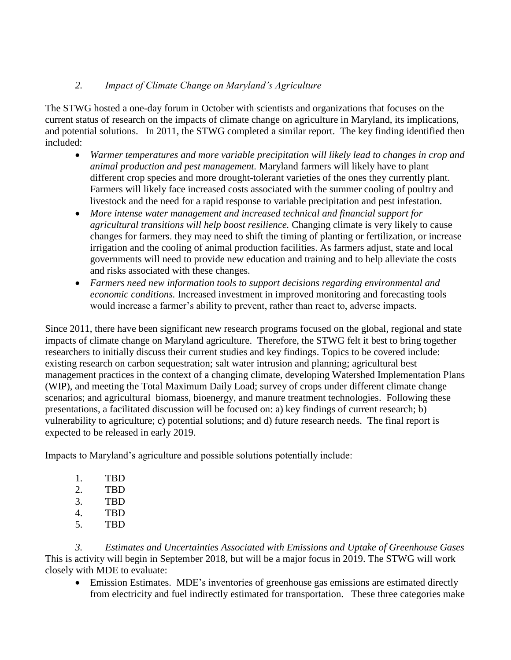# *2. Impact of Climate Change on Maryland's Agriculture*

The STWG hosted a one-day forum in October with scientists and organizations that focuses on the current status of research on the impacts of climate change on agriculture in Maryland, its implications, and potential solutions. In 2011, the STWG completed a similar report. The key finding identified then included:

- *Warmer temperatures and more variable precipitation will likely lead to changes in crop and animal production and pest management.* Maryland farmers will likely have to plant different crop species and more drought-tolerant varieties of the ones they currently plant. Farmers will likely face increased costs associated with the summer cooling of poultry and livestock and the need for a rapid response to variable precipitation and pest infestation.
- *More intense water management and increased technical and financial support for agricultural transitions will help boost resilience.* Changing climate is very likely to cause changes for farmers. they may need to shift the timing of planting or fertilization, or increase irrigation and the cooling of animal production facilities. As farmers adjust, state and local governments will need to provide new education and training and to help alleviate the costs and risks associated with these changes.
- *Farmers need new information tools to support decisions regarding environmental and economic conditions.* Increased investment in improved monitoring and forecasting tools would increase a farmer's ability to prevent, rather than react to, adverse impacts.

Since 2011, there have been significant new research programs focused on the global, regional and state impacts of climate change on Maryland agriculture. Therefore, the STWG felt it best to bring together researchers to initially discuss their current studies and key findings. Topics to be covered include: existing research on carbon sequestration; salt water intrusion and planning; agricultural best management practices in the context of a changing climate, developing Watershed Implementation Plans (WIP), and meeting the Total Maximum Daily Load; survey of crops under different climate change scenarios; and agricultural biomass, bioenergy, and manure treatment technologies. Following these presentations, a facilitated discussion will be focused on: a) key findings of current research; b) vulnerability to agriculture; c) potential solutions; and d) future research needs. The final report is expected to be released in early 2019.

Impacts to Maryland's agriculture and possible solutions potentially include:

1. TBD 2. TBD 3. TBD 4. TBD 5. TBD

*3. Estimates and Uncertainties Associated with Emissions and Uptake of Greenhouse Gases*  This is activity will begin in September 2018, but will be a major focus in 2019. The STWG will work closely with MDE to evaluate:

 Emission Estimates. MDE's inventories of greenhouse gas emissions are estimated directly from electricity and fuel indirectly estimated for transportation. These three categories make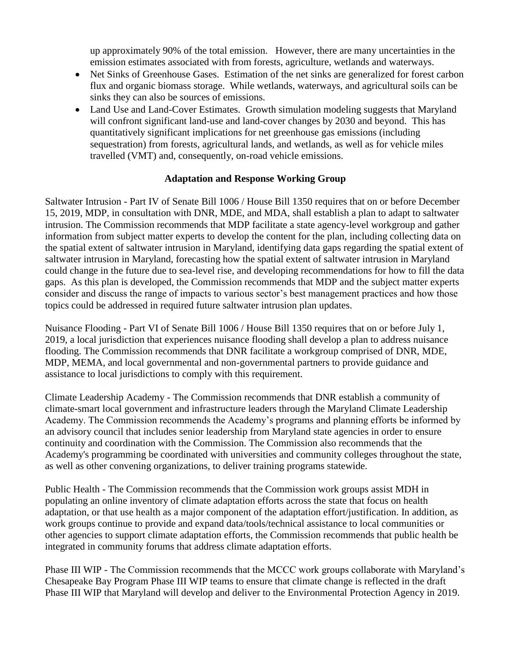up approximately 90% of the total emission. However, there are many uncertainties in the emission estimates associated with from forests, agriculture, wetlands and waterways.

- Net Sinks of Greenhouse Gases. Estimation of the net sinks are generalized for forest carbon flux and organic biomass storage. While wetlands, waterways, and agricultural soils can be sinks they can also be sources of emissions.
- Land Use and Land-Cover Estimates. Growth simulation modeling suggests that Maryland will confront significant land-use and land-cover changes by 2030 and beyond. This has quantitatively significant implications for net greenhouse gas emissions (including sequestration) from forests, agricultural lands, and wetlands, as well as for vehicle miles travelled (VMT) and, consequently, on-road vehicle emissions.

#### **Adaptation and Response Working Group**

Saltwater Intrusion - Part IV of Senate Bill 1006 / House Bill 1350 requires that on or before December 15, 2019, MDP, in consultation with DNR, MDE, and MDA, shall establish a plan to adapt to saltwater intrusion. The Commission recommends that MDP facilitate a state agency-level workgroup and gather information from subject matter experts to develop the content for the plan, including collecting data on the spatial extent of saltwater intrusion in Maryland, identifying data gaps regarding the spatial extent of saltwater intrusion in Maryland, forecasting how the spatial extent of saltwater intrusion in Maryland could change in the future due to sea-level rise, and developing recommendations for how to fill the data gaps. As this plan is developed, the Commission recommends that MDP and the subject matter experts consider and discuss the range of impacts to various sector's best management practices and how those topics could be addressed in required future saltwater intrusion plan updates.

Nuisance Flooding - Part VI of Senate Bill 1006 / House Bill 1350 requires that on or before July 1, 2019, a local jurisdiction that experiences nuisance flooding shall develop a plan to address nuisance flooding. The Commission recommends that DNR facilitate a workgroup comprised of DNR, MDE, MDP, MEMA, and local governmental and non-governmental partners to provide guidance and assistance to local jurisdictions to comply with this requirement.

Climate Leadership Academy - The Commission recommends that DNR establish a community of climate-smart local government and infrastructure leaders through the Maryland Climate Leadership Academy. The Commission recommends the Academy's programs and planning efforts be informed by an advisory council that includes senior leadership from Maryland state agencies in order to ensure continuity and coordination with the Commission. The Commission also recommends that the Academy's programming be coordinated with universities and community colleges throughout the state, as well as other convening organizations, to deliver training programs statewide.

Public Health - The Commission recommends that the Commission work groups assist MDH in populating an online inventory of climate adaptation efforts across the state that focus on health adaptation, or that use health as a major component of the adaptation effort/justification. In addition, as work groups continue to provide and expand data/tools/technical assistance to local communities or other agencies to support climate adaptation efforts, the Commission recommends that public health be integrated in community forums that address climate adaptation efforts.

Phase III WIP - The Commission recommends that the MCCC work groups collaborate with Maryland's Chesapeake Bay Program Phase III WIP teams to ensure that climate change is reflected in the draft Phase III WIP that Maryland will develop and deliver to the Environmental Protection Agency in 2019.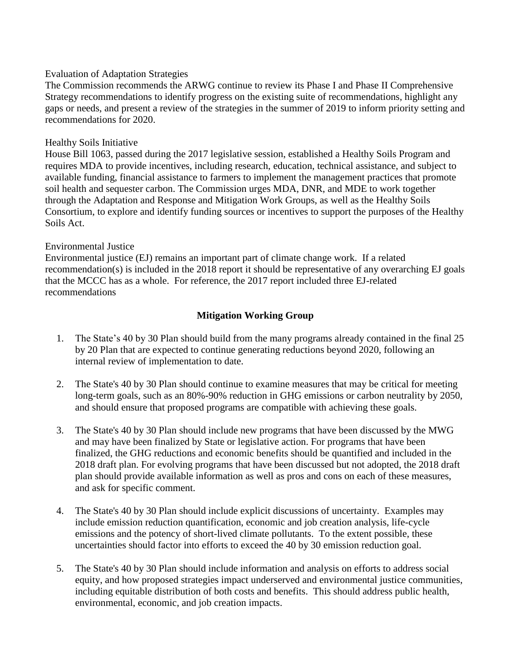#### Evaluation of Adaptation Strategies

The Commission recommends the ARWG continue to review its Phase I and Phase II Comprehensive Strategy recommendations to identify progress on the existing suite of recommendations, highlight any gaps or needs, and present a review of the strategies in the summer of 2019 to inform priority setting and recommendations for 2020.

#### Healthy Soils Initiative

House Bill 1063, passed during the 2017 legislative session, established a Healthy Soils Program and requires MDA to provide incentives, including research, education, technical assistance, and subject to available funding, financial assistance to farmers to implement the management practices that promote soil health and sequester carbon. The Commission urges MDA, DNR, and MDE to work together through the Adaptation and Response and Mitigation Work Groups, as well as the Healthy Soils Consortium, to explore and identify funding sources or incentives to support the purposes of the Healthy Soils Act.

#### Environmental Justice

Environmental justice (EJ) remains an important part of climate change work. If a related recommendation(s) is included in the 2018 report it should be representative of any overarching EJ goals that the MCCC has as a whole. For reference, the 2017 report included three EJ-related recommendations

## **Mitigation Working Group**

- 1. The State's 40 by 30 Plan should build from the many programs already contained in the final 25 by 20 Plan that are expected to continue generating reductions beyond 2020, following an internal review of implementation to date.
- 2. The State's 40 by 30 Plan should continue to examine measures that may be critical for meeting long-term goals, such as an 80%-90% reduction in GHG emissions or carbon neutrality by 2050, and should ensure that proposed programs are compatible with achieving these goals.
- 3. The State's 40 by 30 Plan should include new programs that have been discussed by the MWG and may have been finalized by State or legislative action. For programs that have been finalized, the GHG reductions and economic benefits should be quantified and included in the 2018 draft plan. For evolving programs that have been discussed but not adopted, the 2018 draft plan should provide available information as well as pros and cons on each of these measures, and ask for specific comment.
- 4. The State's 40 by 30 Plan should include explicit discussions of uncertainty. Examples may include emission reduction quantification, economic and job creation analysis, life-cycle emissions and the potency of short-lived climate pollutants. To the extent possible, these uncertainties should factor into efforts to exceed the 40 by 30 emission reduction goal.
- 5. The State's 40 by 30 Plan should include information and analysis on efforts to address social equity, and how proposed strategies impact underserved and environmental justice communities, including equitable distribution of both costs and benefits. This should address public health, environmental, economic, and job creation impacts.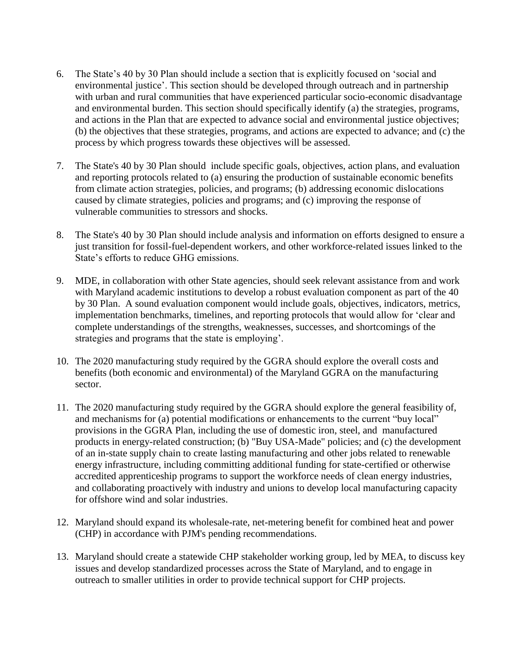- 6. The State's 40 by 30 Plan should include a section that is explicitly focused on 'social and environmental justice'. This section should be developed through outreach and in partnership with urban and rural communities that have experienced particular socio-economic disadvantage and environmental burden. This section should specifically identify (a) the strategies, programs, and actions in the Plan that are expected to advance social and environmental justice objectives; (b) the objectives that these strategies, programs, and actions are expected to advance; and (c) the process by which progress towards these objectives will be assessed.
- 7. The State's 40 by 30 Plan should include specific goals, objectives, action plans, and evaluation and reporting protocols related to (a) ensuring the production of sustainable economic benefits from climate action strategies, policies, and programs; (b) addressing economic dislocations caused by climate strategies, policies and programs; and (c) improving the response of vulnerable communities to stressors and shocks.
- 8. The State's 40 by 30 Plan should include analysis and information on efforts designed to ensure a just transition for fossil-fuel-dependent workers, and other workforce-related issues linked to the State's efforts to reduce GHG emissions.
- 9. MDE, in collaboration with other State agencies, should seek relevant assistance from and work with Maryland academic institutions to develop a robust evaluation component as part of the 40 by 30 Plan. A sound evaluation component would include goals, objectives, indicators, metrics, implementation benchmarks, timelines, and reporting protocols that would allow for 'clear and complete understandings of the strengths, weaknesses, successes, and shortcomings of the strategies and programs that the state is employing'.
- 10. The 2020 manufacturing study required by the GGRA should explore the overall costs and benefits (both economic and environmental) of the Maryland GGRA on the manufacturing sector.
- 11. The 2020 manufacturing study required by the GGRA should explore the general feasibility of, and mechanisms for (a) potential modifications or enhancements to the current "buy local" provisions in the GGRA Plan, including the use of domestic iron, steel, and manufactured products in energy-related construction; (b) "Buy USA-Made" policies; and (c) the development of an in-state supply chain to create lasting manufacturing and other jobs related to renewable energy infrastructure, including committing additional funding for state-certified or otherwise accredited apprenticeship programs to support the workforce needs of clean energy industries, and collaborating proactively with industry and unions to develop local manufacturing capacity for offshore wind and solar industries.
- 12. Maryland should expand its wholesale-rate, net-metering benefit for combined heat and power (CHP) in accordance with PJM's pending recommendations.
- 13. Maryland should create a statewide CHP stakeholder working group, led by MEA, to discuss key issues and develop standardized processes across the State of Maryland, and to engage in outreach to smaller utilities in order to provide technical support for CHP projects.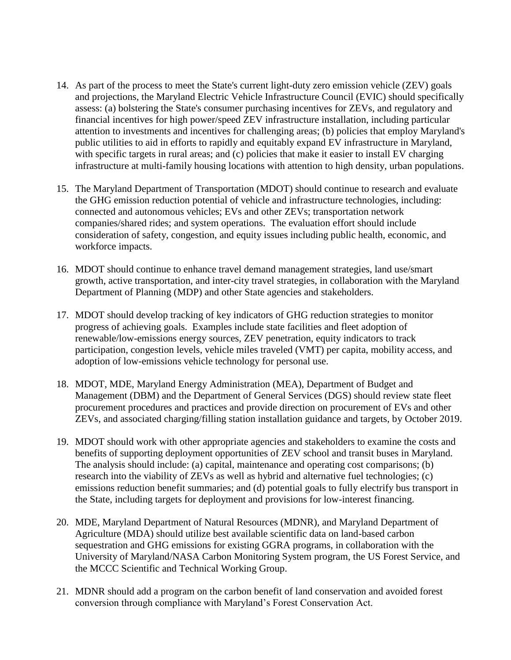- 14. As part of the process to meet the State's current light-duty zero emission vehicle (ZEV) goals and projections, the Maryland Electric Vehicle Infrastructure Council (EVIC) should specifically assess: (a) bolstering the State's consumer purchasing incentives for ZEVs, and regulatory and financial incentives for high power/speed ZEV infrastructure installation, including particular attention to investments and incentives for challenging areas; (b) policies that employ Maryland's public utilities to aid in efforts to rapidly and equitably expand EV infrastructure in Maryland, with specific targets in rural areas; and (c) policies that make it easier to install EV charging infrastructure at multi-family housing locations with attention to high density, urban populations.
- 15. The Maryland Department of Transportation (MDOT) should continue to research and evaluate the GHG emission reduction potential of vehicle and infrastructure technologies, including: connected and autonomous vehicles; EVs and other ZEVs; transportation network companies/shared rides; and system operations. The evaluation effort should include consideration of safety, congestion, and equity issues including public health, economic, and workforce impacts.
- 16. MDOT should continue to enhance travel demand management strategies, land use/smart growth, active transportation, and inter-city travel strategies, in collaboration with the Maryland Department of Planning (MDP) and other State agencies and stakeholders.
- 17. MDOT should develop tracking of key indicators of GHG reduction strategies to monitor progress of achieving goals. Examples include state facilities and fleet adoption of renewable/low-emissions energy sources, ZEV penetration, equity indicators to track participation, congestion levels, vehicle miles traveled (VMT) per capita, mobility access, and adoption of low-emissions vehicle technology for personal use.
- 18. MDOT, MDE, Maryland Energy Administration (MEA), Department of Budget and Management (DBM) and the Department of General Services (DGS) should review state fleet procurement procedures and practices and provide direction on procurement of EVs and other ZEVs, and associated charging/filling station installation guidance and targets, by October 2019.
- 19. MDOT should work with other appropriate agencies and stakeholders to examine the costs and benefits of supporting deployment opportunities of ZEV school and transit buses in Maryland. The analysis should include: (a) capital, maintenance and operating cost comparisons; (b) research into the viability of ZEVs as well as hybrid and alternative fuel technologies; (c) emissions reduction benefit summaries; and (d) potential goals to fully electrify bus transport in the State, including targets for deployment and provisions for low-interest financing.
- 20. MDE, Maryland Department of Natural Resources (MDNR), and Maryland Department of Agriculture (MDA) should utilize best available scientific data on land-based carbon sequestration and GHG emissions for existing GGRA programs, in collaboration with the University of Maryland/NASA Carbon Monitoring System program, the US Forest Service, and the MCCC Scientific and Technical Working Group.
- 21. MDNR should add a program on the carbon benefit of land conservation and avoided forest conversion through compliance with Maryland's Forest Conservation Act.